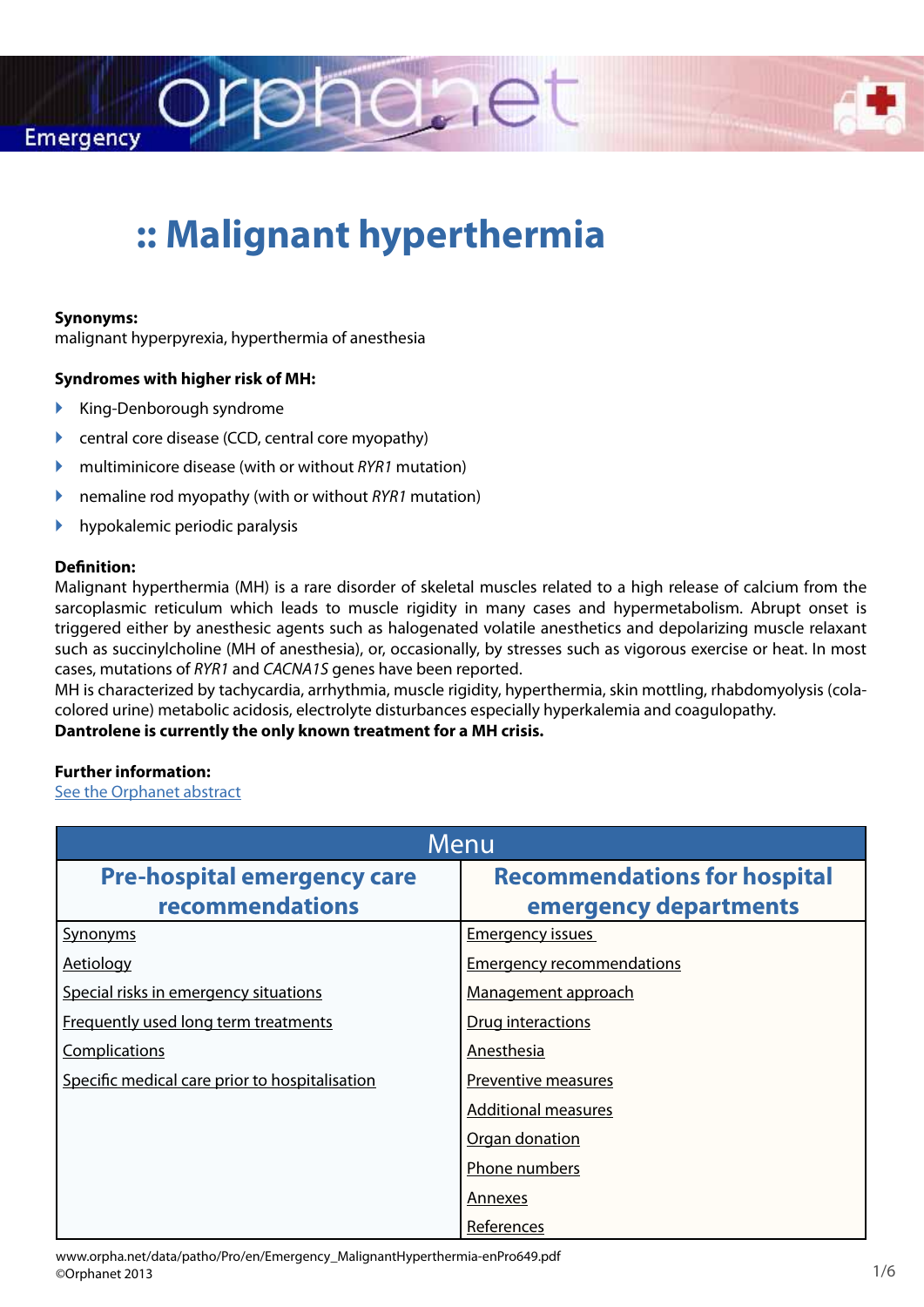



# **:: Malignant hyperthermia**

rphane

#### **Synonyms:**

malignant hyperpyrexia, hyperthermia of anesthesia

#### **Syndromes with higher risk of MH:**

- $\blacktriangleright$  King-Denborough syndrome
- $\triangleright$  central core disease (CCD, central core myopathy)
- ` multiminicore disease (with or without *RYR1* mutation)
- ` nemaline rod myopathy (with or without *RYR1* mutation)
- $\blacktriangleright$  hypokalemic periodic paralysis

#### **Definition:**

Malignant hyperthermia (MH) is a rare disorder of skeletal muscles related to a high release of calcium from the sarcoplasmic reticulum which leads to muscle rigidity in many cases and hypermetabolism. Abrupt onset is triggered either by anesthesic agents such as halogenated volatile anesthetics and depolarizing muscle relaxant such as succinylcholine (MH of anesthesia), or, occasionally, by stresses such as vigorous exercise or heat. In most cases, mutations of *RYR1* and *CACNA1S* genes have been reported.

MH is characterized by tachycardia, arrhythmia, muscle rigidity, hyperthermia, skin mottling, rhabdomyolysis (colacolored urine) metabolic acidosis, electrolyte disturbances especially hyperkalemia and coagulopathy.

#### **Dantrolene is currently the only known treatment for a MH crisis.**

#### **Further information:**

[See the Orphanet abstract](http://www.orpha.net/consor/cgi-bin/OC_Exp.php?Lng=EN&Expert=423)

| Menu                                           |                                     |
|------------------------------------------------|-------------------------------------|
| <b>Pre-hospital emergency care</b>             | <b>Recommendations for hospital</b> |
| recommendations                                | emergency departments               |
| Synonyms                                       | <b>Emergency issues</b>             |
| <b>Aetiology</b>                               | <b>Emergency recommendations</b>    |
| Special risks in emergency situations          | Management approach                 |
| Frequently used long term treatments           | Drug interactions                   |
| Complications                                  | Anesthesia                          |
| Specific medical care prior to hospitalisation | Preventive measures                 |
|                                                | <b>Additional measures</b>          |
|                                                | Organ donation                      |
|                                                | Phone numbers                       |
|                                                | <b>Annexes</b>                      |
|                                                | References                          |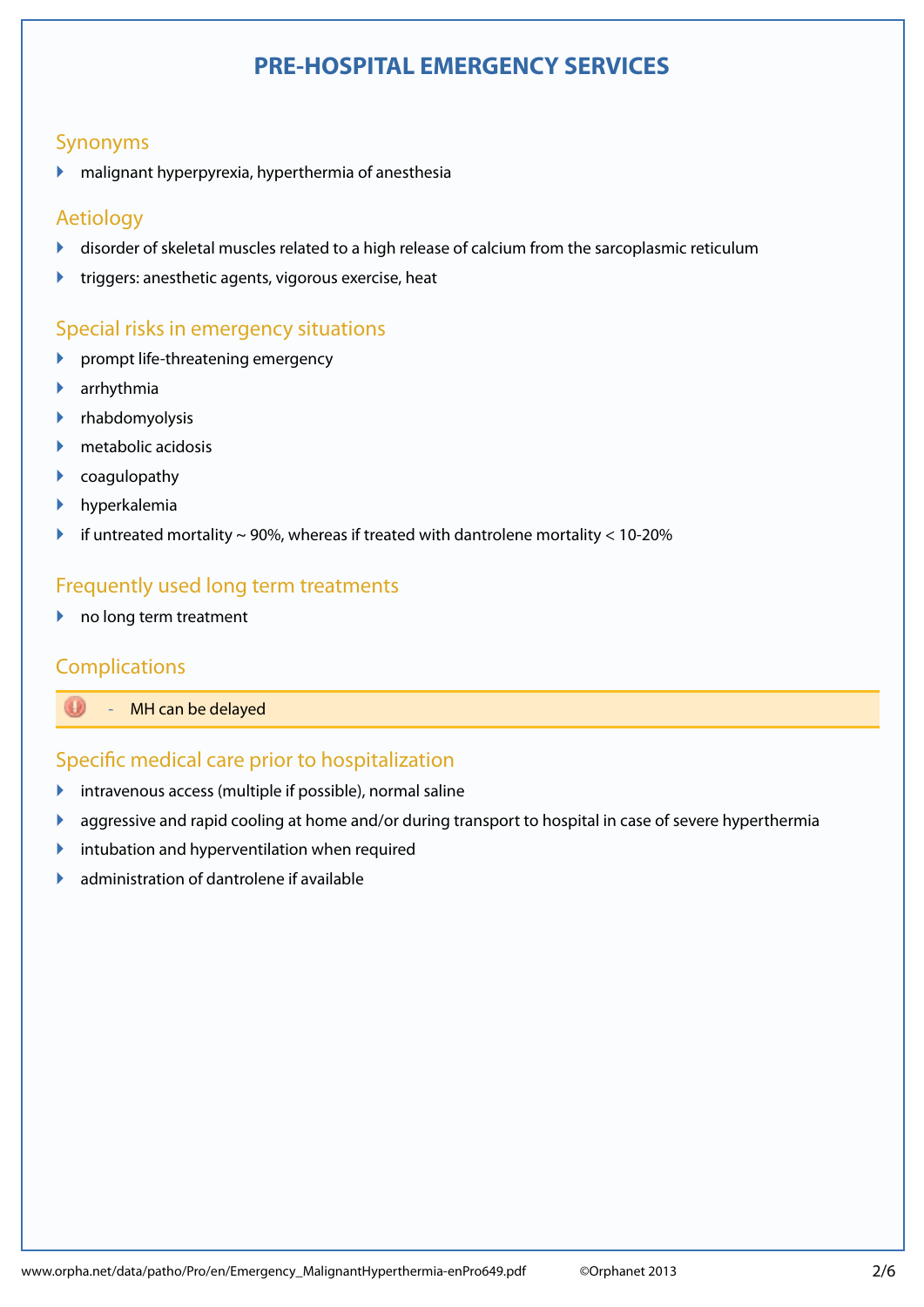# **PRE-HOSPITAL EMERGENCY SERVICES**

# <span id="page-1-0"></span>Synonyms

 $\blacktriangleright$  malignant hyperpyrexia, hyperthermia of anesthesia

# Synonymes ` Aetiology

- ` disorder of skeletal muscles related to a high release of calcium from the sarcoplasmic reticulum
- **IF** triggers: anesthetic agents, vigorous exercise, heat

## Special risks in emergency situations

- $\blacktriangleright$  prompt life-threatening emergency
- $\blacktriangleright$ ` arrhythmia
- $\mathbf{\overline{}}$ ` rhabdomyolysis
- $\blacksquare$ Traitement au long course au long course au long course au long course au long course au long course au long course au long course au long course au long course au long course au long course au long course au long c  $\blacktriangleright$  metabolic acidosis
- $\triangleright$  coagulopathy
- ` hyperkalemia
- if untreated mortality  $\sim$  90%, whereas if treated with dantrolene mortality  $<$  10-20%

# ` Frequently used long term treatments

 $\blacktriangleright$  no long term treatment

# **Complications**

**Englisher School School** Separate Bayed

#### `  $\mathbb{R}^n$  where the urgences are  $\mathbb{R}^n$ Specific medical care prior to hospitalization

- $\blacktriangleright$  intravenous access (multiple if possible), normal saline
- **aggressive and rapid cooling at home and/or during transport to hospital in case of severe hyperthermia**
- $\blacktriangleright$  intubation and hyperventilation when required
- $\blacktriangleright$  administration of dantrolene if available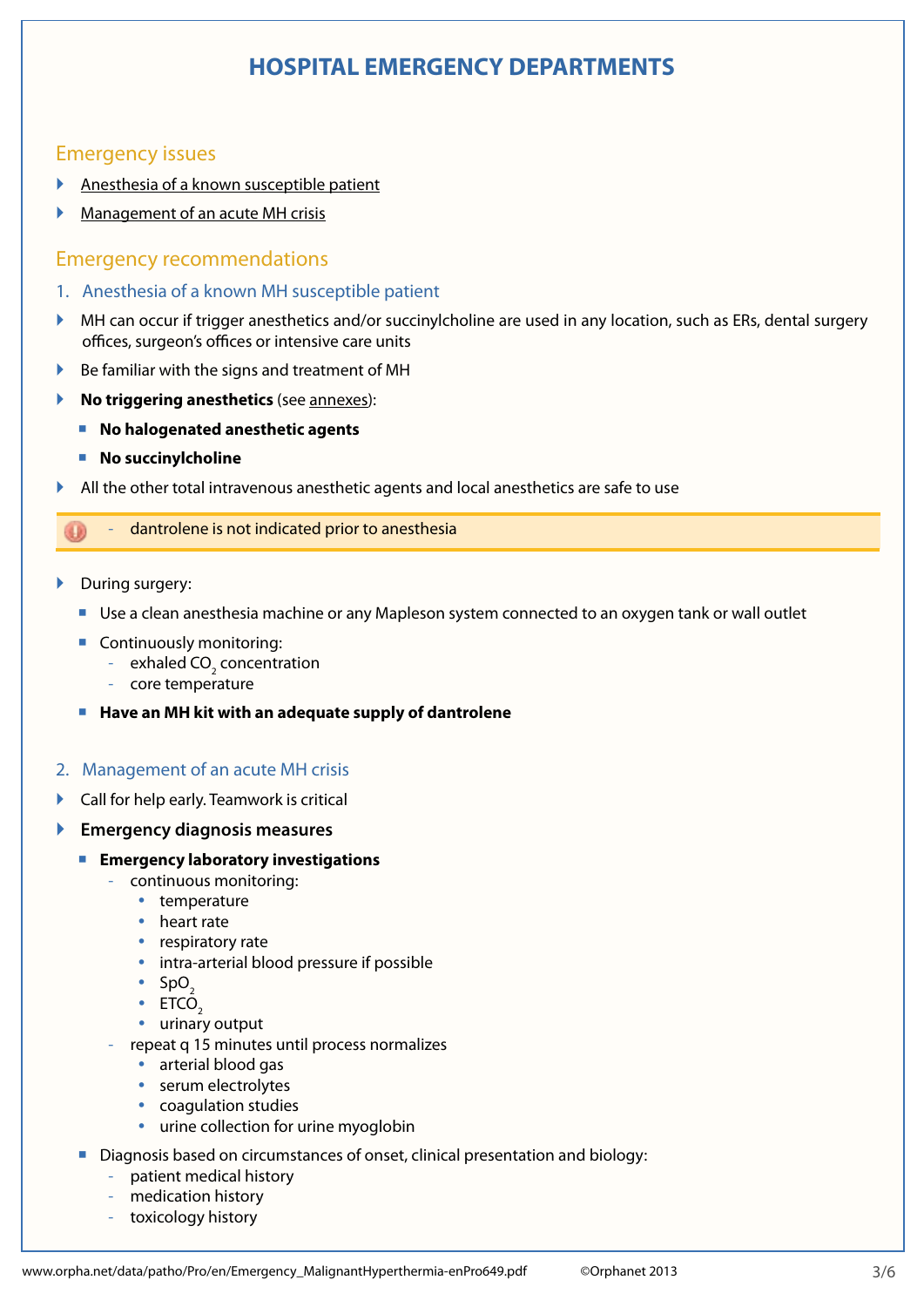# **HOSPITAL EMERGENCY DEPARTMENTS**

## <span id="page-2-0"></span>Emergency issues

- ` [Anesthesia of a known susceptible patient](#page-2-1)
- ` [Management of an acute MH crisis](#page-2-2)

#### Emergency recommendations

- <span id="page-2-1"></span>1. Anesthesia of a known MH susceptible patient
- $\blacktriangleright$  MH can occur if trigger anesthetics and/or succinylcholine are used in any location, such as ERs, dental surgery offices, surgeon's offices or intensive care units
- ` Be familiar with the signs and treatment of MH
- ` **No triggering anesthetics** (see [annexes](#page-5-1)):
	- No halogenated anesthetic agents
	- **No succinylcholine**
- ` All the other total intravenous anesthetic agents and local anesthetics are safe to use

#### dantrolene is not indicated prior to anesthesia

- During surgery:
	- Use a clean anesthesia machine or any Mapleson system connected to an oxygen tank or wall outlet
	- Continuously monitoring:
		- $\,$  exhaled CO $_{2}$  concentration
		- core temperature
	- **Have an MH kit with an adequate supply of dantrolene**

#### <span id="page-2-2"></span>2. Management of an acute MH crisis

- ` Call for help early. Teamwork is critical
- ` **Emergency diagnosis measures**
	- **Emergency laboratory investigations**
		- continuous monitoring:
			- temperature
			- heart rate
			- respiratory rate
			- intra-arterial blood pressure if possible
			- $\cdot$  SpO<sub>2</sub>
			- $\cdot$  ETCO<sub>2</sub>
			- urinary output
		- repeat q 15 minutes until process normalizes
			- arterial blood gas
			- serum electrolytes
			- coagulation studies
			- urine collection for urine myoglobin
	- Diagnosis based on circumstances of onset, clinical presentation and biology:
		- patient medical history
		- medication history
		- toxicology history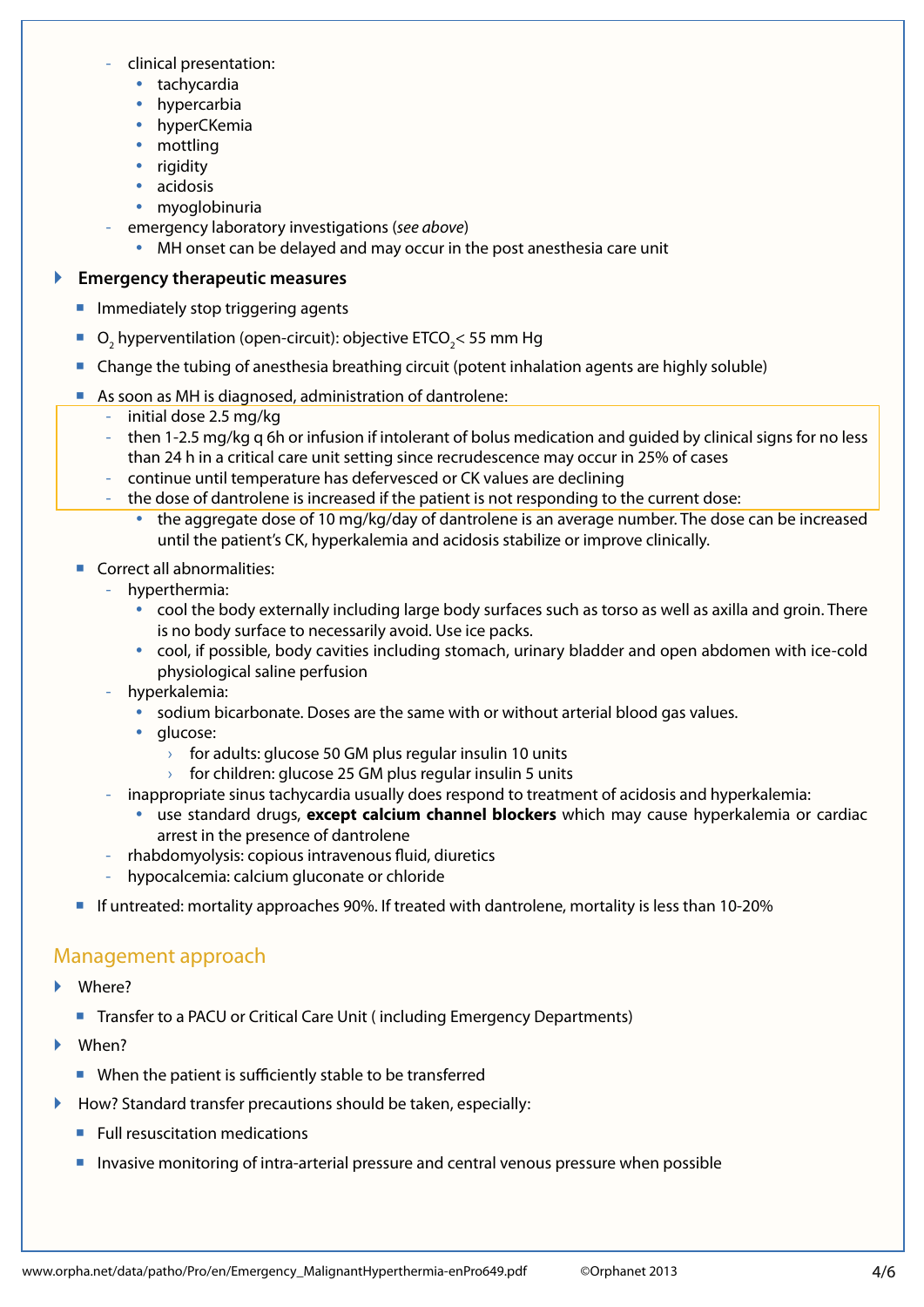- **Recommandations pour les urgences hospitalismes de la pouve de la pouve de la pouve de la pouve de la pouve de<br>Le pouve de la pouve de la pouve de la pouve de la pouve de la pouve de la pouve de la pouve de la pouve de la** - clinical presentation:
	- $\cdot$  tachycardia
	- hypercarbia
	- hyperCKemia
- $\bullet$  mottling<br> $\bullet$  vigidity
	- rigidity
	- acidosis
	- myoglobinuria
- emergency laboratory investigations (*see above*)<br>- enable agest see he delayed and may essure in the
	- MH onset can be delayed and may occur in the post anesthesia care unit

# **Emergency therapeutic measures**

- **I** Immediately stop triggering agents
	- J **•** O<sub>2</sub> hyperventilation (open-circuit): objective ETCO<sub>2</sub> < 55 mm Hg
	- Change the tubing of anesthesia breathing circuit (potent inhalation agents are highly soluble)
	- As soon as MH is diagnosed, administration of dantrolene:
		- initial dose 2.5 mg/kg
- <sup>1</sup> then 1-2.5 mg/kg q 6h or infusion if intolerant of bolus medication and guided by clinical signs for no less than 24 h in a critical care unit setting since recrudescence may occur in 25% of cases
	- continue until temperature has defervesced or CK values are declining
- $\vert$   $\vert$   $\vert$   $\vert$   $\vert$   $\vert$   $\vert$  the dose of dantrolene is increased if the patient is not responding to the current dose:
- Orientation the aggregate dose of 10 mg/kg/day of dantrolene is an average number. The dose can be increased until the patient's CK, hyperkalemia and acidosis stabilize or improve clinically.
- **Correct all abnormalities:**
- $\sim$   $\sim$   $\sim$ hyperthermia:
- $\sim$  Comment  $\sim$  Comment  $\sim$ • cool the body externally including large body surfaces such as torso as well as axilla and groin. There is no body surface to necessarily avoid. Use ice packs.
	- cool, if possible, body cavities including stomach, urinary bladder and open abdomen with ice-cold physiological saline perfusion
- Interactions médicamenteuses hyperkalemia:
	- sodium bicarbonate. Doses are the same with or without arterial blood gas values.
	- glucose:
		- $\rightarrow$  for adults: glucose 50 GM plus regular insulin 10 units
- or addits. glucose 50 GM plus regular insulit To drifts<br>
> for children: glucose 25 GM plus regular insulin 5 units
	- inappropriate sinus tachycardia usually does respond to treatment of acidosis and hyperkalemia:
		- y use standard drugs, **except calcium channel blockers** which may cause hyperkalemia or cardiac arrest in the presence of dantrolene
- anest in the présence or dantioiene<br>rhabdomyolysis: copious intravenous fluid, diuretics
	- hypocalcemia: calcium gluconate or chloride
	- If untreated: mortality approaches 90%. If treated with dantrolene, mortality is less than 10-20%

# Management approach

- ` Where?
- Transfer to a PACU or Critical Care Unit (including Emergency Departments)
- ▶ When?
	- When the patient is sufficiently stable to be transferred
- ▶ How? Standard transfer precautions should be taken, especially:
- **EXECUTE: Full resuscitation medications**
- Invasive monitoring of intra-arterial pressure and central venous pressure when possible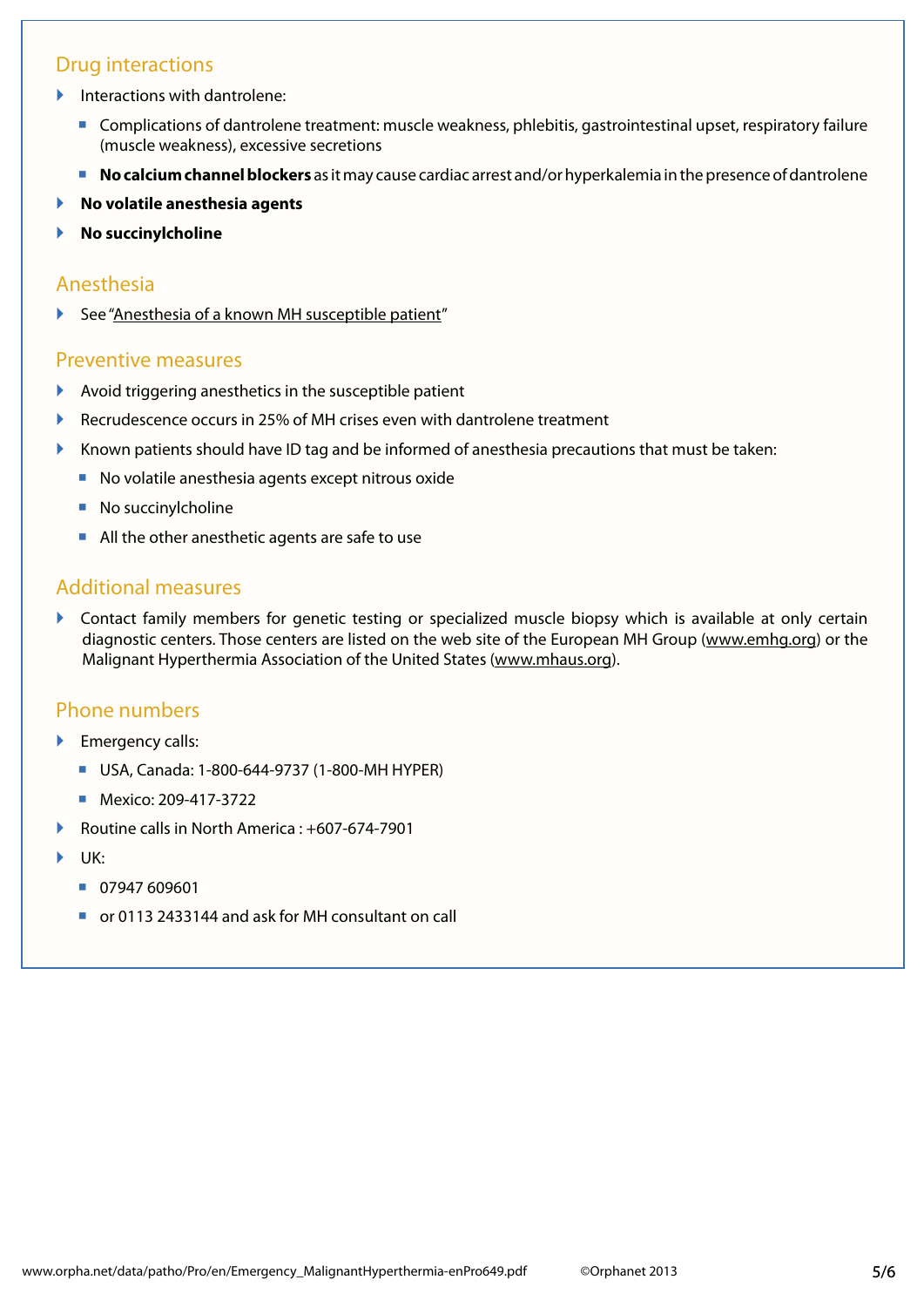# <span id="page-4-0"></span>Drug interactions

- $\blacktriangleright$  Interactions with dantrolene:
	- **Complications of dantrolene treatment: muscle weakness, phlebitis, gastrointestinal upset, respiratory failure** (muscle weakness), excessive secretions
	- **No calcium channel blockers** as it may cause cardiac arrest and/or hyperkalemia in the presence of dantrolene
- ` **No volatile anesthesia agents**
- ` **No succinylcholine**

#### Anesthesia

 $\blacktriangleright$  See ["Anesthesia of a known MH susceptible patient"](#page-2-1)

#### Preventive measures

- Avoid triggering anesthetics in the susceptible patient
- ` Recrudescence occurs in 25% of MH crises even with dantrolene treatment
- $\blacktriangleright$  Known patients should have ID tag and be informed of anesthesia precautions that must be taken:
	- No volatile anesthesia agents except nitrous oxide
	- No succinylcholine
	- All the other anesthetic agents are safe to use

#### Additional measures

` Contact family members for genetic testing or specialized muscle biopsy which is available at only certain diagnostic centers. Those centers are listed on the web site of the European MH Group ([www.emhg.org](http://www.emhg.org)) or the Malignant Hyperthermia Association of the United States ([www.mhaus.org](http://www.mhaus.org)).

#### Phone numbers

- **Emergency calls:** 
	- USA, Canada: 1-800-644-9737 (1-800-MH HYPER)
	- Mexico: 209-417-3722
- ` Routine calls in North America : +607-674-7901
- UK:
	- 07947 609601
	- or 0113 2433144 and ask for MH consultant on call